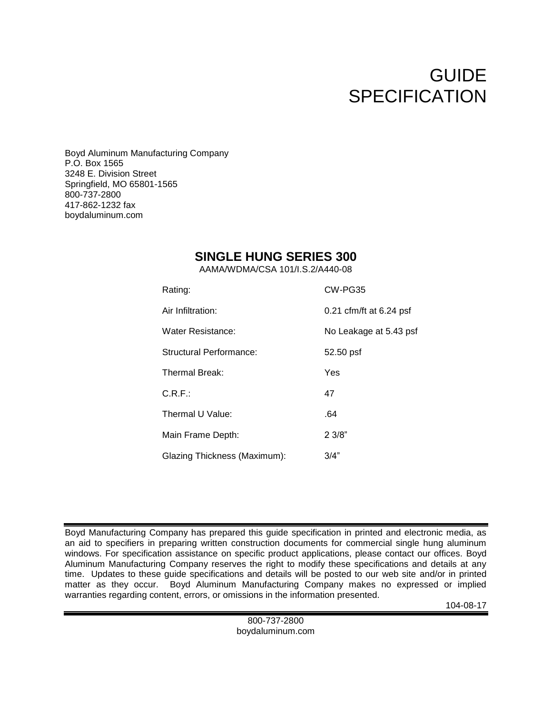# GUIDE **SPECIFICATION**

Boyd Aluminum Manufacturing Company P.O. Box 1565 3248 E. Division Street Springfield, MO 65801-1565 800-737-2800 417-862-1232 fax boydaluminum.com

# **SINGLE HUNG SERIES 300**

AAMA/WDMA/CSA 101/I.S.2/A440-08

| Rating:                      | CW-PG35                 |
|------------------------------|-------------------------|
| Air Infiltration:            | 0.21 cfm/ft at 6.24 psf |
| Water Resistance:            | No Leakage at 5.43 psf  |
| Structural Performance:      | 52.50 psf               |
| Thermal Break:               | Yes                     |
| C.R.F.                       | 47                      |
| Thermal U Value:             | .64                     |
| Main Frame Depth:            | 23/8"                   |
| Glazing Thickness (Maximum): | 3/4"                    |

Boyd Manufacturing Company has prepared this guide specification in printed and electronic media, as an aid to specifiers in preparing written construction documents for commercial single hung aluminum windows. For specification assistance on specific product applications, please contact our offices. Boyd Aluminum Manufacturing Company reserves the right to modify these specifications and details at any time. Updates to these guide specifications and details will be posted to our web site and/or in printed matter as they occur. Boyd Aluminum Manufacturing Company makes no expressed or implied warranties regarding content, errors, or omissions in the information presented.

104-08-17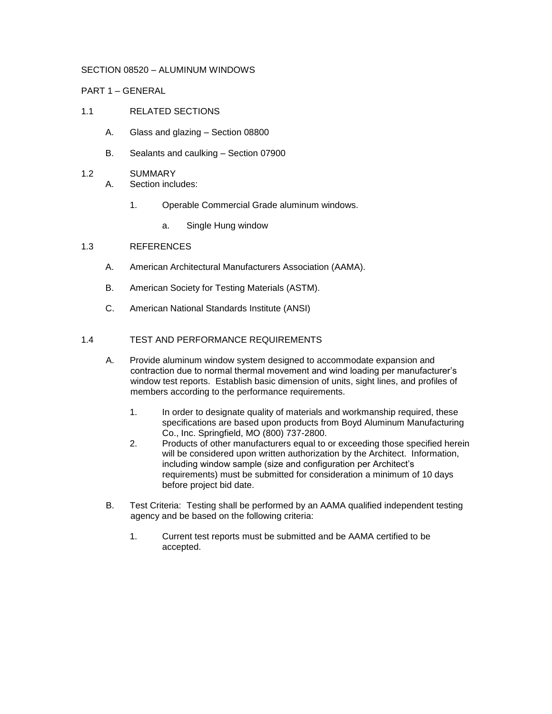#### SECTION 08520 – ALUMINUM WINDOWS

#### PART 1 – GENERAL

# 1.1 RELATED SECTIONS

- A. Glass and glazing Section 08800
- B. Sealants and caulking Section 07900

#### 1.2 SUMMARY

- A. Section includes:
	- 1. Operable Commercial Grade aluminum windows.
		- a. Single Hung window

#### 1.3 REFERENCES

- A. American Architectural Manufacturers Association (AAMA).
- B. American Society for Testing Materials (ASTM).
- C. American National Standards Institute (ANSI)

### 1.4 TEST AND PERFORMANCE REQUIREMENTS

- A. Provide aluminum window system designed to accommodate expansion and contraction due to normal thermal movement and wind loading per manufacturer's window test reports. Establish basic dimension of units, sight lines, and profiles of members according to the performance requirements.
	- 1. In order to designate quality of materials and workmanship required, these specifications are based upon products from Boyd Aluminum Manufacturing Co., Inc. Springfield, MO (800) 737-2800.
	- 2. Products of other manufacturers equal to or exceeding those specified herein will be considered upon written authorization by the Architect. Information, including window sample (size and configuration per Architect's requirements) must be submitted for consideration a minimum of 10 days before project bid date.
- B. Test Criteria: Testing shall be performed by an AAMA qualified independent testing agency and be based on the following criteria:
	- 1. Current test reports must be submitted and be AAMA certified to be accepted.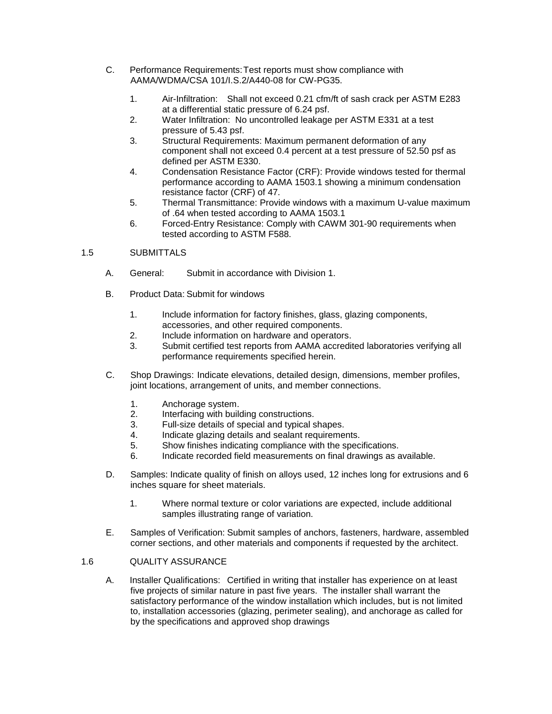- C. Performance Requirements:Test reports must show compliance with AAMA/WDMA/CSA 101/I.S.2/A440-08 for CW-PG35.
	- 1. Air-Infiltration: Shall not exceed 0.21 cfm/ft of sash crack per ASTM E283 at a differential static pressure of 6.24 psf.
	- 2. Water Infiltration: No uncontrolled leakage per ASTM E331 at a test pressure of 5.43 psf.
	- 3. Structural Requirements: Maximum permanent deformation of any component shall not exceed 0.4 percent at a test pressure of 52.50 psf as defined per ASTM E330.
	- 4. Condensation Resistance Factor (CRF): Provide windows tested for thermal performance according to AAMA 1503.1 showing a minimum condensation resistance factor (CRF) of 47.
	- 5. Thermal Transmittance: Provide windows with a maximum U-value maximum of .64 when tested according to AAMA 1503.1
	- 6. Forced-Entry Resistance: Comply with CAWM 301-90 requirements when tested according to ASTM F588.

# 1.5 SUBMITTALS

- A. General: Submit in accordance with Division 1.
- B. Product Data: Submit for windows
	- 1. Include information for factory finishes, glass, glazing components, accessories, and other required components.
	- 2. Include information on hardware and operators.
	- 3. Submit certified test reports from AAMA accredited laboratories verifying all performance requirements specified herein.
- C. Shop Drawings: Indicate elevations, detailed design, dimensions, member profiles, joint locations, arrangement of units, and member connections.
	- 1. Anchorage system.
	- 2. Interfacing with building constructions.
	- 3. Full-size details of special and typical shapes.
	- 4. Indicate glazing details and sealant requirements.
	- 5. Show finishes indicating compliance with the specifications.
	- 6. Indicate recorded field measurements on final drawings as available.
- D. Samples: Indicate quality of finish on alloys used, 12 inches long for extrusions and 6 inches square for sheet materials.
	- 1. Where normal texture or color variations are expected, include additional samples illustrating range of variation.
- E. Samples of Verification: Submit samples of anchors, fasteners, hardware, assembled corner sections, and other materials and components if requested by the architect.

# 1.6 QUALITY ASSURANCE

A. Installer Qualifications: Certified in writing that installer has experience on at least five projects of similar nature in past five years. The installer shall warrant the satisfactory performance of the window installation which includes, but is not limited to, installation accessories (glazing, perimeter sealing), and anchorage as called for by the specifications and approved shop drawings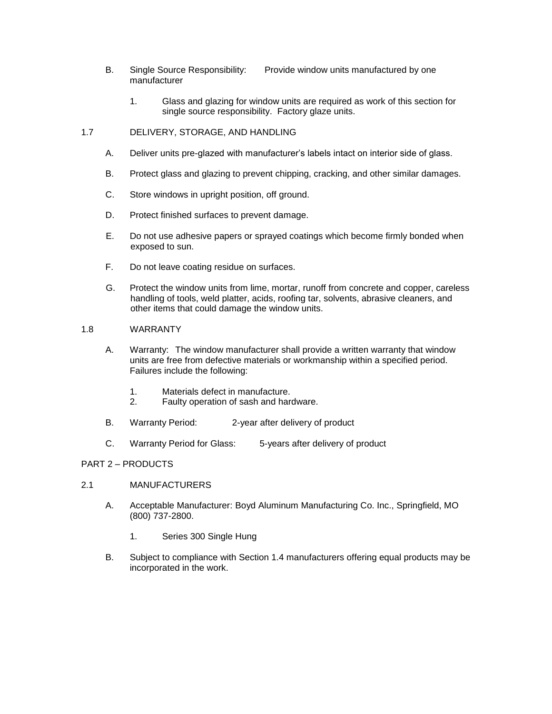- B. Single Source Responsibility: Provide window units manufactured by one manufacturer
	- 1. Glass and glazing for window units are required as work of this section for single source responsibility. Factory glaze units.

# 1.7 DELIVERY, STORAGE, AND HANDLING

- A. Deliver units pre-glazed with manufacturer's labels intact on interior side of glass.
- B. Protect glass and glazing to prevent chipping, cracking, and other similar damages.
- C. Store windows in upright position, off ground.
- D. Protect finished surfaces to prevent damage.
- E. Do not use adhesive papers or sprayed coatings which become firmly bonded when exposed to sun.
- F. Do not leave coating residue on surfaces.
- G. Protect the window units from lime, mortar, runoff from concrete and copper, careless handling of tools, weld platter, acids, roofing tar, solvents, abrasive cleaners, and other items that could damage the window units.

#### 1.8 WARRANTY

- A. Warranty: The window manufacturer shall provide a written warranty that window units are free from defective materials or workmanship within a specified period. Failures include the following:
	- 1. Materials defect in manufacture.
	- 2. Faulty operation of sash and hardware.
- B. Warranty Period: 2-year after delivery of product
- C. Warranty Period for Glass: 5-years after delivery of product

#### PART 2 – PRODUCTS

- 2.1 MANUFACTURERS
	- A. Acceptable Manufacturer: Boyd Aluminum Manufacturing Co. Inc., Springfield, MO (800) 737-2800.
		- 1. Series 300 Single Hung
	- B. Subject to compliance with Section 1.4 manufacturers offering equal products may be incorporated in the work.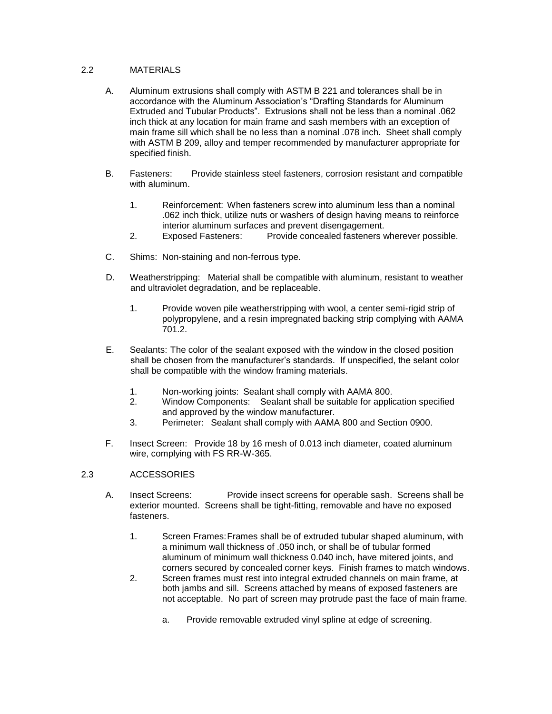# 2.2 MATERIALS

- A. Aluminum extrusions shall comply with ASTM B 221 and tolerances shall be in accordance with the Aluminum Association's "Drafting Standards for Aluminum Extruded and Tubular Products". Extrusions shall not be less than a nominal .062 inch thick at any location for main frame and sash members with an exception of main frame sill which shall be no less than a nominal .078 inch. Sheet shall comply with ASTM B 209, alloy and temper recommended by manufacturer appropriate for specified finish.
- B. Fasteners: Provide stainless steel fasteners, corrosion resistant and compatible with aluminum.
	- 1. Reinforcement: When fasteners screw into aluminum less than a nominal .062 inch thick, utilize nuts or washers of design having means to reinforce interior aluminum surfaces and prevent disengagement.
	- 2. Exposed Fasteners: Provide concealed fasteners wherever possible.
- C. Shims: Non-staining and non-ferrous type.
- D. Weatherstripping: Material shall be compatible with aluminum, resistant to weather and ultraviolet degradation, and be replaceable.
	- 1. Provide woven pile weatherstripping with wool, a center semi-rigid strip of polypropylene, and a resin impregnated backing strip complying with AAMA 701.2.
- E. Sealants: The color of the sealant exposed with the window in the closed position shall be chosen from the manufacturer's standards. If unspecified, the selant color shall be compatible with the window framing materials.
	- 1. Non-working joints: Sealant shall comply with AAMA 800.
	- 2. Window Components: Sealant shall be suitable for application specified and approved by the window manufacturer.
	- 3. Perimeter: Sealant shall comply with AAMA 800 and Section 0900.
- F. Insect Screen: Provide 18 by 16 mesh of 0.013 inch diameter, coated aluminum wire, complying with FS RR-W-365.

#### 2.3 ACCESSORIES

- A. Insect Screens: Provide insect screens for operable sash. Screens shall be exterior mounted. Screens shall be tight-fitting, removable and have no exposed fasteners.
	- 1. Screen Frames:Frames shall be of extruded tubular shaped aluminum, with a minimum wall thickness of .050 inch, or shall be of tubular formed aluminum of minimum wall thickness 0.040 inch, have mitered joints, and corners secured by concealed corner keys. Finish frames to match windows.
	- 2. Screen frames must rest into integral extruded channels on main frame, at both jambs and sill. Screens attached by means of exposed fasteners are not acceptable. No part of screen may protrude past the face of main frame.
		- a. Provide removable extruded vinyl spline at edge of screening.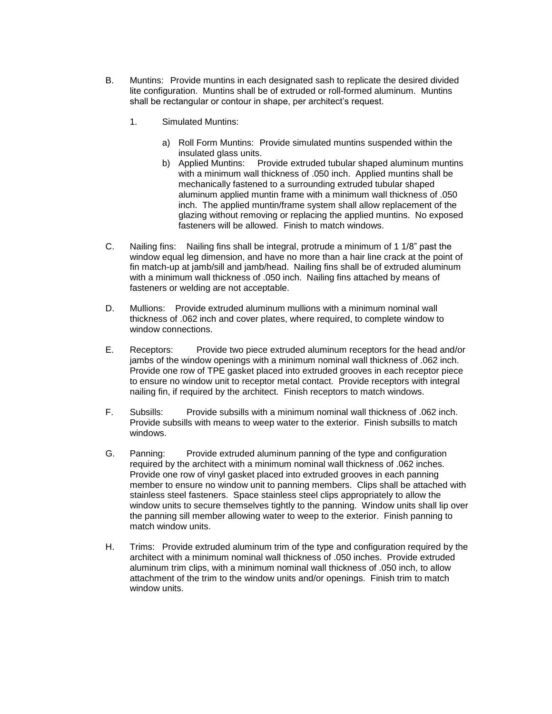- B. Muntins: Provide muntins in each designated sash to replicate the desired divided lite configuration. Muntins shall be of extruded or roll-formed aluminum. Muntins shall be rectangular or contour in shape, per architect's request.
	- 1. Simulated Muntins:
		- a) Roll Form Muntins: Provide simulated muntins suspended within the insulated glass units.
		- b) Applied Muntins: Provide extruded tubular shaped aluminum muntins with a minimum wall thickness of .050 inch. Applied muntins shall be mechanically fastened to a surrounding extruded tubular shaped aluminum applied muntin frame with a minimum wall thickness of .050 inch. The applied muntin/frame system shall allow replacement of the glazing without removing or replacing the applied muntins. No exposed fasteners will be allowed. Finish to match windows.
- C. Nailing fins: Nailing fins shall be integral, protrude a minimum of 1 1/8" past the window equal leg dimension, and have no more than a hair line crack at the point of fin match-up at jamb/sill and jamb/head. Nailing fins shall be of extruded aluminum with a minimum wall thickness of .050 inch. Nailing fins attached by means of fasteners or welding are not acceptable.
- D. Mullions: Provide extruded aluminum mullions with a minimum nominal wall thickness of .062 inch and cover plates, where required, to complete window to window connections.
- E. Receptors: Provide two piece extruded aluminum receptors for the head and/or jambs of the window openings with a minimum nominal wall thickness of .062 inch. Provide one row of TPE gasket placed into extruded grooves in each receptor piece to ensure no window unit to receptor metal contact. Provide receptors with integral nailing fin, if required by the architect. Finish receptors to match windows.
- F. Subsills: Provide subsills with a minimum nominal wall thickness of .062 inch. Provide subsills with means to weep water to the exterior. Finish subsills to match windows.
- G. Panning: Provide extruded aluminum panning of the type and configuration required by the architect with a minimum nominal wall thickness of .062 inches. Provide one row of vinyl gasket placed into extruded grooves in each panning member to ensure no window unit to panning members. Clips shall be attached with stainless steel fasteners. Space stainless steel clips appropriately to allow the window units to secure themselves tightly to the panning. Window units shall lip over the panning sill member allowing water to weep to the exterior. Finish panning to match window units.
- H. Trims: Provide extruded aluminum trim of the type and configuration required by the architect with a minimum nominal wall thickness of .050 inches. Provide extruded aluminum trim clips, with a minimum nominal wall thickness of .050 inch, to allow attachment of the trim to the window units and/or openings. Finish trim to match window units.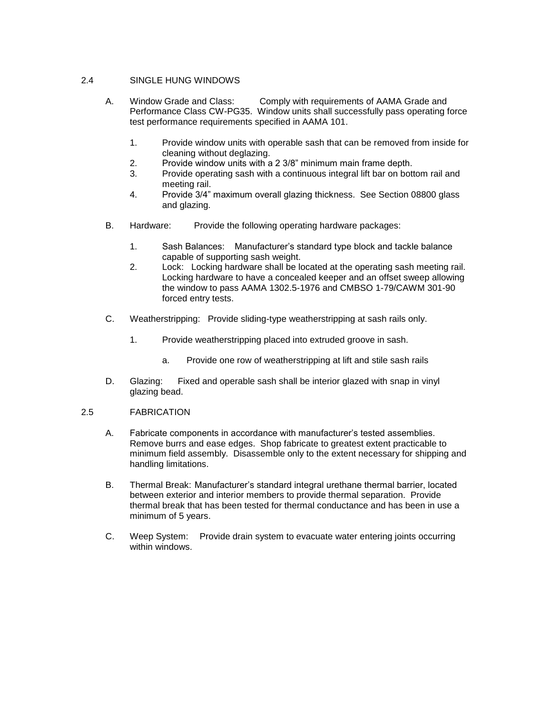# 2.4 SINGLE HUNG WINDOWS

- A. Window Grade and Class: Comply with requirements of AAMA Grade and Performance Class CW-PG35. Window units shall successfully pass operating force test performance requirements specified in AAMA 101.
	- 1. Provide window units with operable sash that can be removed from inside for cleaning without deglazing.
	- 2. Provide window units with a 2 3/8" minimum main frame depth.
	- 3. Provide operating sash with a continuous integral lift bar on bottom rail and meeting rail.
	- 4. Provide 3/4" maximum overall glazing thickness. See Section 08800 glass and glazing.
- B. Hardware: Provide the following operating hardware packages:
	- 1. Sash Balances: Manufacturer's standard type block and tackle balance capable of supporting sash weight.
	- 2. Lock: Locking hardware shall be located at the operating sash meeting rail. Locking hardware to have a concealed keeper and an offset sweep allowing the window to pass AAMA 1302.5-1976 and CMBSO 1-79/CAWM 301-90 forced entry tests.
- C. Weatherstripping: Provide sliding-type weatherstripping at sash rails only.
	- 1. Provide weatherstripping placed into extruded groove in sash.
		- a. Provide one row of weatherstripping at lift and stile sash rails
- D. Glazing: Fixed and operable sash shall be interior glazed with snap in vinyl glazing bead.

# 2.5 FABRICATION

- A. Fabricate components in accordance with manufacturer's tested assemblies. Remove burrs and ease edges. Shop fabricate to greatest extent practicable to minimum field assembly. Disassemble only to the extent necessary for shipping and handling limitations.
- B. Thermal Break: Manufacturer's standard integral urethane thermal barrier, located between exterior and interior members to provide thermal separation. Provide thermal break that has been tested for thermal conductance and has been in use a minimum of 5 years.
- C. Weep System: Provide drain system to evacuate water entering joints occurring within windows.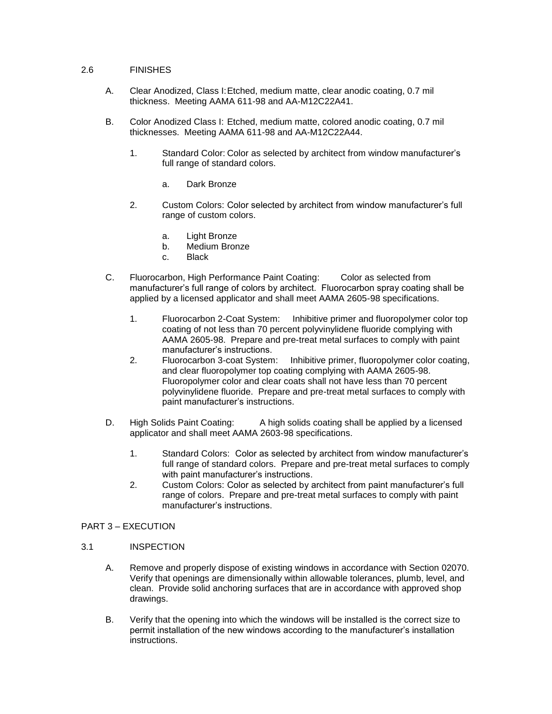#### 2.6 FINISHES

- A. Clear Anodized, Class I:Etched, medium matte, clear anodic coating, 0.7 mil thickness. Meeting AAMA 611-98 and AA-M12C22A41.
- B. Color Anodized Class I: Etched, medium matte, colored anodic coating, 0.7 mil thicknesses. Meeting AAMA 611-98 and AA-M12C22A44.
	- 1. Standard Color: Color as selected by architect from window manufacturer's full range of standard colors.
		- a. Dark Bronze
	- 2. Custom Colors: Color selected by architect from window manufacturer's full range of custom colors.
		- a. Light Bronze
		- b. Medium Bronze
		- c. Black
- C. Fluorocarbon, High Performance Paint Coating: Color as selected from manufacturer's full range of colors by architect. Fluorocarbon spray coating shall be applied by a licensed applicator and shall meet AAMA 2605-98 specifications.
	- 1. Fluorocarbon 2-Coat System: Inhibitive primer and fluoropolymer color top coating of not less than 70 percent polyvinylidene fluoride complying with AAMA 2605-98. Prepare and pre-treat metal surfaces to comply with paint manufacturer's instructions.
	- 2. Fluorocarbon 3-coat System: Inhibitive primer, fluoropolymer color coating, and clear fluoropolymer top coating complying with AAMA 2605-98. Fluoropolymer color and clear coats shall not have less than 70 percent polyvinylidene fluoride. Prepare and pre-treat metal surfaces to comply with paint manufacturer's instructions.
- D. High Solids Paint Coating: A high solids coating shall be applied by a licensed applicator and shall meet AAMA 2603-98 specifications.
	- 1. Standard Colors: Color as selected by architect from window manufacturer's full range of standard colors. Prepare and pre-treat metal surfaces to comply with paint manufacturer's instructions.
	- 2. Custom Colors: Color as selected by architect from paint manufacturer's full range of colors. Prepare and pre-treat metal surfaces to comply with paint manufacturer's instructions.

# PART 3 – EXECUTION

#### 3.1 INSPECTION

- A. Remove and properly dispose of existing windows in accordance with Section 02070. Verify that openings are dimensionally within allowable tolerances, plumb, level, and clean. Provide solid anchoring surfaces that are in accordance with approved shop drawings.
- B. Verify that the opening into which the windows will be installed is the correct size to permit installation of the new windows according to the manufacturer's installation instructions.